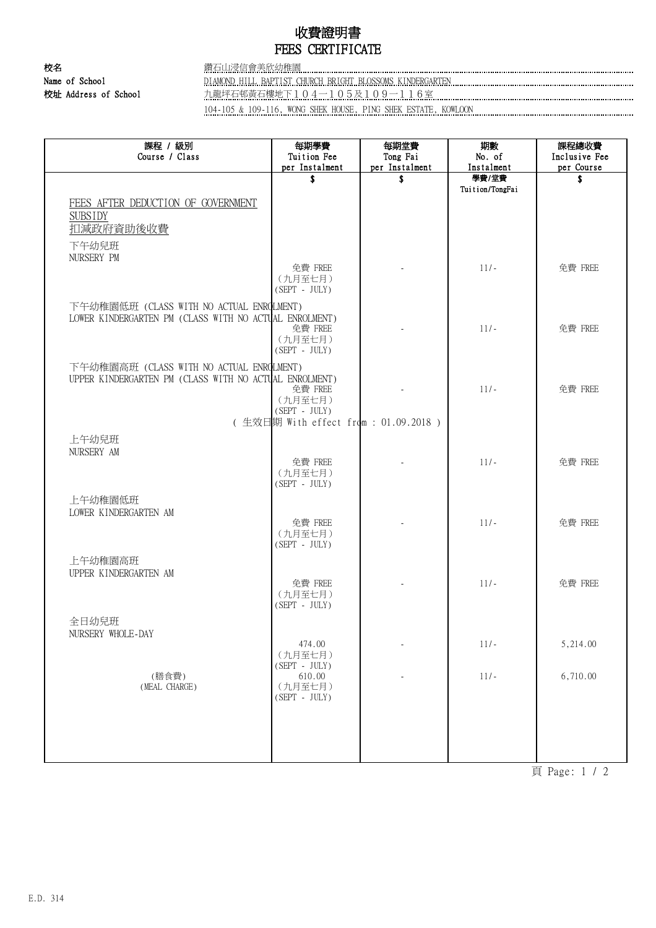## 收費證明書 FEES CERTIFICATE

校名 鑽石山浸信會美欣幼稚園 Name of School DIAMOND HILL BAPTIST CHURCH BRIGHT BLOSSOMS KINDERGARTEN 校址 Address of School highland http://www.php?indightand.com/indightand/indightand/indightand/indightand/indightand/indightand/indightand/indightand/indightand/indightand/indightand/indightand/indightand/indightand/indight 104-105 & 109-116, WONG SHEK HOUSE, PING SHEK ESTATE, KOWLOON

課程 / 級別 Course / Class 每期學費 Tuition Fee per Instalment 每期堂費 Tong Fai per Instalment 期數 No. of Instalment 課程總收費 Inclusive Fee per Course \$ \$ 學費/堂費 Tuition/TongFai \$ FEES AFTER DEDUCTION OF GOVERNMENT **SUBSIDY** 扣減政府資助後收費 下午幼兒班 NURSERY PM (九月至七月) (SEPT - JULY) 免費 FREE  $\left\vert \begin{array}{ccc} 11/2 & 11/2 & 11/2 \end{array} \right\vert$  免費 FREE 下午幼稚園低班 (CLASS WITH NO ACTUAL ENROLMENT) LOWER KINDERGARTEN PM (CLASS WITH NO ACTUAL ENROLMENT) (九月至七月) (SEPT - JULY) 免費 FREE 11/- 11/- 全費 FREE 下午幼稚園高班 (CLASS WITH NO ACTUAL ENROLMENT) UPPER KINDERGARTEN PM (CLASS WITH NO ACTUAL ENROLMENT) (九月至七月) (SEPT - JULY) 免費 FREE インコンコンコンコンコンコンコンランス しょうしゃ 免費 FREE ( 生效日期 With effect from : 01.09.2018 ) 上午幼兒班 NURSERY AM (九月至七月) (SEPT - JULY) 免費 FREE | The Table | 11/- | 免費 FREE 上午幼稚園低班 LOWER KINDERGARTEN AM (九月至七月) (SEPT - JULY) 免費 FREE | The Table | 11/- The 11 免費 FREE 上午幼稚園高班 UPPER KINDERGARTEN AM (九月至七月) (SEPT - JULY) 免費 FREE - 11/- 免費 FREE 全日幼兒班 NURSERY WHOLE-DAY (九月至七月)  $(\begin{array}{cc}\text{SEPT} & - & \text{JULY})\ \text{610.00}\end{array}$ 474.00 - 11/- 5,214.00 (MEAL CHARGE) (九月至七月)  $(SEPT - JUI.Y)$ (膳食費) 610.00 - 11/- 6,710.00

頁 Page: 1 / 2